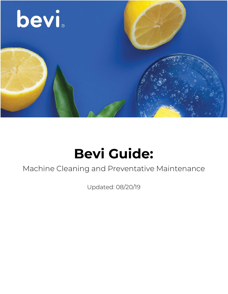

# **Bevi Guide:**

#### Machine Cleaning and Preventative Maintenance

Updated: 08/20/19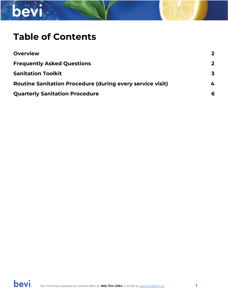# bevi.

#### **Table of Contents**

| <b>Overview</b>                                                  | $\mathbf{2}$ |
|------------------------------------------------------------------|--------------|
| <b>Frequently Asked Questions</b>                                | $\mathbf{2}$ |
| <b>Sanitation Toolkit</b>                                        | 3            |
| <b>Routine Sanitation Procedure (during every service visit)</b> | 4            |
| <b>Quarterly Sanitation Procedure</b>                            | 6            |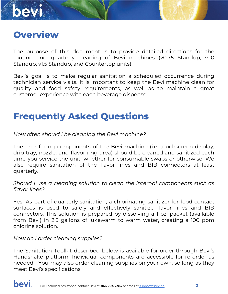<span id="page-2-0"></span>

The purpose of this document is to provide detailed directions for the routine and quarterly cleaning of Bevi machines (v0.75 Standup, v1.0 Standup, v1.5 Standup, and Countertop units).

Bevi's goal is to make regular sanitation a scheduled occurrence during technician service visits. It is important to keep the Bevi machine clean for quality and food safety requirements, as well as to maintain a great customer experience with each beverage dispense.

#### <span id="page-2-1"></span>**Frequently Asked Questions**

*How often should I be cleaning the Bevi machine?*

The user facing components of the Bevi machine (i.e. touchscreen display, drip tray, nozzle, and flavor ring area) should be cleaned and sanitized each time you service the unit, whether for consumable swaps or otherwise. We also require sanitation of the flavor lines and BIB connectors at least quarterly.

*Should I use a cleaning solution to clean the internal components such as flavor lines?*

Yes. As part of quarterly sanitation, a chlorinating sanitizer for food contact surfaces is used to safely and effectively sanitize flavor lines and BIB connectors. This solution is prepared by dissolving a 1 oz. packet (available from Bevi) in 2.5 gallons of lukewarm to warm water, creating a 100 ppm chlorine solution.

*How do I order cleaning supplies?*

bevi.

The Sanitation Toolkit described below is available for order through Bevi's Handshake platform. Individual components are accessible for re-order as needed. You may also order cleaning supplies on your own, so long as they meet Bevi's specifications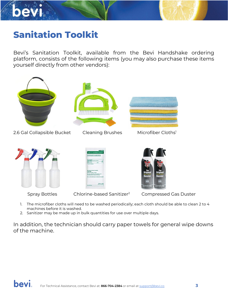

## <span id="page-3-0"></span>**Sanitation Toolkit**

Bevi's Sanitation Toolkit, available from the Bevi Handshake ordering platform, consists of the following items (you may also purchase these items yourself directly from other vendors):



- 1. The microfiber cloths will need to be washed periodically; each cloth should be able to clean 2 to 4 machines before it is washed.
- 2. Sanitizer may be made up in bulk quantities for use over multiple days.

In addition, the technician should carry paper towels for general wipe downs of the machine.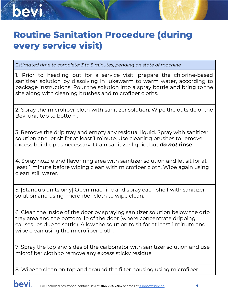### <span id="page-4-0"></span>**Routine Sanitation Procedure (during every service visit)**

*Estimated time to complete: 3 to 8 minutes, pending on state of machine*

1. Prior to heading out for a service visit, prepare the chlorine-based sanitizer solution by dissolving in lukewarm to warm water, according to package instructions. Pour the solution into a spray bottle and bring to the site along with cleaning brushes and microfiber cloths.

2. Spray the microfiber cloth with sanitizer solution. Wipe the outside of the Bevi unit top to bottom.

3. Remove the drip tray and empty any residual liquid. Spray with sanitizer solution and let sit for at least 1 minute. Use cleaning brushes to remove excess build-up as necessary. Drain sanitizer liquid, but *do not* **rinse**.

4. Spray nozzle and flavor ring area with sanitizer solution and let sit for at least 1 minute before wiping clean with microfiber cloth. Wipe again using clean, still water.

5. [Standup units only] Open machine and spray each shelf with sanitizer solution and using microfiber cloth to wipe clean.

6. Clean the inside of the door by spraying sanitizer solution below the drip tray area and the bottom lip of the door (where concentrate dripping causes residue to settle). Allow the solution to sit for at least 1 minute and wipe clean using the microfiber cloth.

7. Spray the top and sides of the carbonator with sanitizer solution and use microfiber cloth to remove any excess sticky residue.

8. Wipe to clean on top and around the filter housing using microfiber

bevi.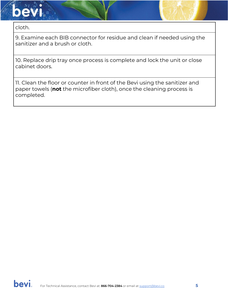



9. Examine each BIB connector for residue and clean if needed using the sanitizer and a brush or cloth.

10. Replace drip tray once process is complete and lock the unit or close cabinet doors.

11. Clean the floor or counter in front of the Bevi using the sanitizer and paper towels (**not** the microfiber cloth), once the cleaning process is completed.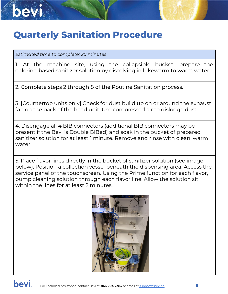<span id="page-6-0"></span>

*Estimated time to complete: 20 minutes*

1. At the machine site, using the collapsible bucket, prepare the chlorine-based sanitizer solution by dissolving in lukewarm to warm water.

2. Complete steps 2 through 8 of the Routine Sanitation process.

3. [Countertop units only] Check for dust build up on or around the exhaust fan on the back of the head unit. Use compressed air to dislodge dust.

4. Disengage all 4 BIB connectors (additional BIB connectors may be present if the Bevi is Double BIBed) and soak in the bucket of prepared sanitizer solution for at least 1 minute. Remove and rinse with clean, warm water.

5. Place flavor lines directly in the bucket of sanitizer solution (see image below). Position a collection vessel beneath the dispensing area. Access the service panel of the touchscreen. Using the Prime function for each flavor, pump cleaning solution through each flavor line. Allow the solution sit within the lines for at least 2 minutes.